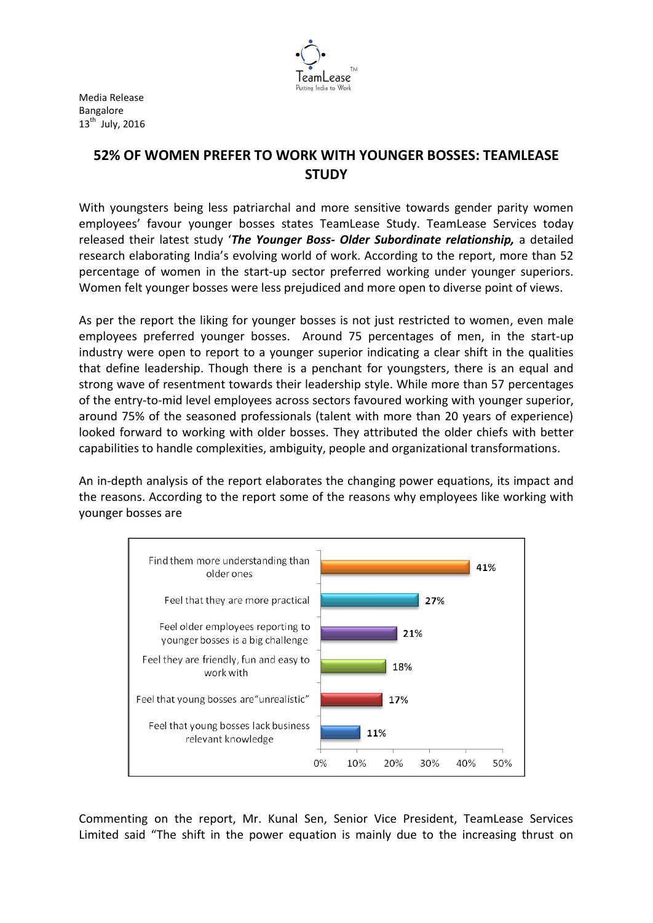

Media Release Bangalore  $13^{\text{th}}$  July, 2016

## **52% OF WOMEN PREFER TO WORK WITH YOUNGER BOSSES: TEAMLEASE STUDY**

With youngsters being less patriarchal and more sensitive towards gender parity women employees' favour younger bosses states TeamLease Study. TeamLease Services today released their latest study '*The Younger Boss- Older Subordinate relationship,* a detailed research elaborating India's evolving world of work. According to the report, more than 52 percentage of women in the start-up sector preferred working under younger superiors. Women felt younger bosses were less prejudiced and more open to diverse point of views.

As per the report the liking for younger bosses is not just restricted to women, even male employees preferred younger bosses. Around 75 percentages of men, in the start-up industry were open to report to a younger superior indicating a clear shift in the qualities that define leadership. Though there is a penchant for youngsters, there is an equal and strong wave of resentment towards their leadership style. While more than 57 percentages of the entry-to-mid level employees across sectors favoured working with younger superior, around 75% of the seasoned professionals (talent with more than 20 years of experience) looked forward to working with older bosses. They attributed the older chiefs with better capabilities to handle complexities, ambiguity, people and organizational transformations.

An in-depth analysis of the report elaborates the changing power equations, its impact and the reasons. According to the report some of the reasons why employees like working with younger bosses are



Commenting on the report, Mr. Kunal Sen, Senior Vice President, TeamLease Services Limited said "The shift in the power equation is mainly due to the increasing thrust on